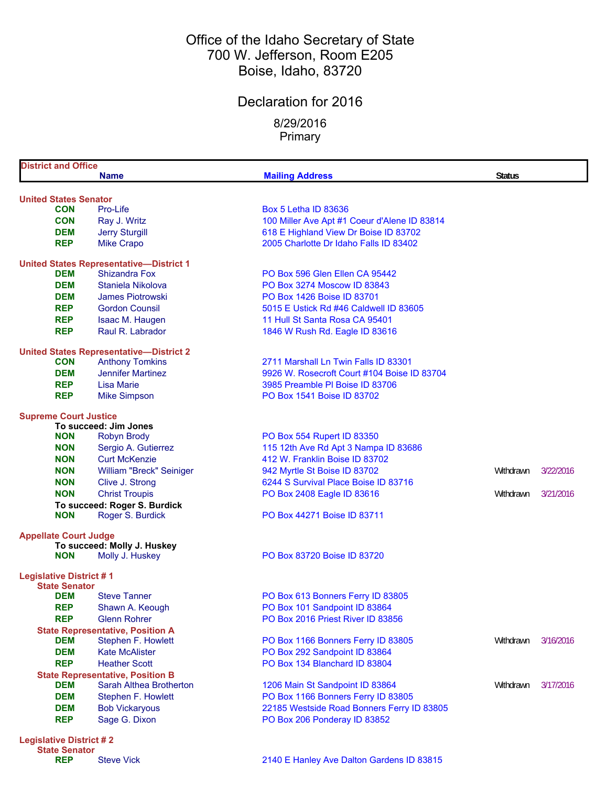## Office of the Idaho Secretary of State 700 W. Jefferson, Room E205 Boise, Idaho, 83720

## Declaration for 2016

8/29/2016 Primary

| <b>District and Office</b>                 |                                                |                                              |               |           |
|--------------------------------------------|------------------------------------------------|----------------------------------------------|---------------|-----------|
|                                            | <b>Name</b>                                    | <b>Mailing Address</b>                       | <b>Status</b> |           |
|                                            |                                                |                                              |               |           |
| <b>United States Senator</b><br><b>CON</b> | Pro-Life                                       | <b>Box 5 Letha ID 83636</b>                  |               |           |
| <b>CON</b>                                 | Ray J. Writz                                   | 100 Miller Ave Apt #1 Coeur d'Alene ID 83814 |               |           |
| <b>DEM</b>                                 |                                                | 618 E Highland View Dr Boise ID 83702        |               |           |
| <b>REP</b>                                 | <b>Jerry Sturgill</b>                          | 2005 Charlotte Dr Idaho Falls ID 83402       |               |           |
|                                            | <b>Mike Crapo</b>                              |                                              |               |           |
|                                            | <b>United States Representative-District 1</b> |                                              |               |           |
| <b>DEM</b>                                 | <b>Shizandra Fox</b>                           | PO Box 596 Glen Ellen CA 95442               |               |           |
| <b>DEM</b>                                 | Staniela Nikolova                              | PO Box 3274 Moscow ID 83843                  |               |           |
| <b>DEM</b>                                 | <b>James Piotrowski</b>                        | PO Box 1426 Boise ID 83701                   |               |           |
| <b>REP</b>                                 | <b>Gordon Counsil</b>                          | 5015 E Ustick Rd #46 Caldwell ID 83605       |               |           |
| <b>REP</b>                                 | Isaac M. Haugen                                | 11 Hull St Santa Rosa CA 95401               |               |           |
| <b>REP</b>                                 | Raul R. Labrador                               | 1846 W Rush Rd. Eagle ID 83616               |               |           |
|                                            | <b>United States Representative-District 2</b> |                                              |               |           |
| <b>CON</b>                                 | <b>Anthony Tomkins</b>                         | 2711 Marshall Ln Twin Falls ID 83301         |               |           |
| <b>DEM</b>                                 | <b>Jennifer Martinez</b>                       | 9926 W. Rosecroft Court #104 Boise ID 83704  |               |           |
| <b>REP</b>                                 | <b>Lisa Marie</b>                              | 3985 Preamble PI Boise ID 83706              |               |           |
| <b>REP</b>                                 | <b>Mike Simpson</b>                            | PO Box 1541 Boise ID 83702                   |               |           |
|                                            |                                                |                                              |               |           |
| <b>Supreme Court Justice</b>               |                                                |                                              |               |           |
|                                            | To succeed: Jim Jones                          |                                              |               |           |
| <b>NON</b>                                 | <b>Robyn Brody</b>                             | PO Box 554 Rupert ID 83350                   |               |           |
| <b>NON</b>                                 | Sergio A. Gutierrez                            | 115 12th Ave Rd Apt 3 Nampa ID 83686         |               |           |
| <b>NON</b>                                 | <b>Curt McKenzie</b>                           | 412 W. Franklin Boise ID 83702               |               |           |
| <b>NON</b>                                 | William "Breck" Seiniger                       | 942 Myrtle St Boise ID 83702                 | Withdrawn     | 3/22/2016 |
| <b>NON</b>                                 | Clive J. Strong                                | 6244 S Survival Place Boise ID 83716         |               |           |
| <b>NON</b>                                 | <b>Christ Troupis</b>                          | PO Box 2408 Eagle ID 83616                   | Withdrawn     | 3/21/2016 |
|                                            | To succeed: Roger S. Burdick                   |                                              |               |           |
| <b>NON</b>                                 | Roger S. Burdick                               | PO Box 44271 Boise ID 83711                  |               |           |
| <b>Appellate Court Judge</b>               |                                                |                                              |               |           |
|                                            | To succeed: Molly J. Huskey                    |                                              |               |           |
| <b>NON</b>                                 | Molly J. Huskey                                | PO Box 83720 Boise ID 83720                  |               |           |
| <b>Legislative District #1</b>             |                                                |                                              |               |           |
| <b>State Senator</b>                       |                                                |                                              |               |           |
| DEM                                        | <b>Steve Tanner</b>                            | PO Box 613 Bonners Ferry ID 83805            |               |           |
| <b>REP</b>                                 | Shawn A. Keough                                | PO Box 101 Sandpoint ID 83864                |               |           |
| <b>REP</b>                                 | <b>Glenn Rohrer</b>                            | PO Box 2016 Priest River ID 83856            |               |           |
|                                            | <b>State Representative, Position A</b>        |                                              |               |           |
| <b>DEM</b>                                 | Stephen F. Howlett                             | PO Box 1166 Bonners Ferry ID 83805           | Withdrawn     | 3/16/2016 |
| <b>DEM</b>                                 | <b>Kate McAlister</b>                          | PO Box 292 Sandpoint ID 83864                |               |           |
| <b>REP</b>                                 | <b>Heather Scott</b>                           | PO Box 134 Blanchard ID 83804                |               |           |
|                                            | <b>State Representative, Position B</b>        |                                              |               |           |
| <b>DEM</b>                                 | Sarah Althea Brotherton                        | 1206 Main St Sandpoint ID 83864              | Withdrawn     | 3/17/2016 |
| <b>DEM</b>                                 | Stephen F. Howlett                             | PO Box 1166 Bonners Ferry ID 83805           |               |           |
| <b>DEM</b>                                 | <b>Bob Vickaryous</b>                          | 22185 Westside Road Bonners Ferry ID 83805   |               |           |
| <b>REP</b>                                 | Sage G. Dixon                                  | PO Box 206 Ponderay ID 83852                 |               |           |
|                                            |                                                |                                              |               |           |
| <b>Legislative District #2</b>             |                                                |                                              |               |           |

**State Senator**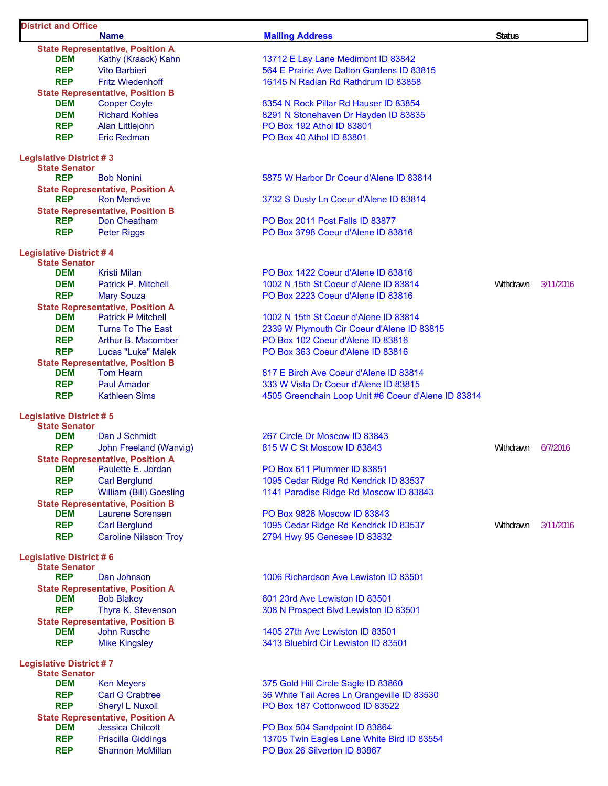| <b>District and Office</b>                             |                                                                |                                                     |               |           |
|--------------------------------------------------------|----------------------------------------------------------------|-----------------------------------------------------|---------------|-----------|
|                                                        | <b>Name</b>                                                    | <b>Mailing Address</b>                              | <b>Status</b> |           |
| DEM                                                    | <b>State Representative, Position A</b><br>Kathy (Kraack) Kahn | 13712 E Lay Lane Medimont ID 83842                  |               |           |
| <b>REP</b>                                             | <b>Vito Barbieri</b>                                           | 564 E Prairie Ave Dalton Gardens ID 83815           |               |           |
| <b>REP</b>                                             | <b>Fritz Wiedenhoff</b>                                        | 16145 N Radian Rd Rathdrum ID 83858                 |               |           |
|                                                        | <b>State Representative, Position B</b>                        |                                                     |               |           |
| DEM                                                    | <b>Cooper Coyle</b>                                            | 8354 N Rock Pillar Rd Hauser ID 83854               |               |           |
| <b>DEM</b>                                             | <b>Richard Kohles</b>                                          | 8291 N Stonehaven Dr Hayden ID 83835                |               |           |
| <b>REP</b>                                             | Alan Littlejohn                                                | PO Box 192 Athol ID 83801                           |               |           |
| <b>REP</b>                                             | Eric Redman                                                    | PO Box 40 Athol ID 83801                            |               |           |
|                                                        |                                                                |                                                     |               |           |
| <b>Legislative District #3</b><br><b>State Senator</b> |                                                                |                                                     |               |           |
| <b>REP</b>                                             | <b>Bob Nonini</b>                                              | 5875 W Harbor Dr Coeur d'Alene ID 83814             |               |           |
|                                                        | <b>State Representative, Position A</b>                        |                                                     |               |           |
| <b>REP</b>                                             | <b>Ron Mendive</b>                                             | 3732 S Dusty Ln Coeur d'Alene ID 83814              |               |           |
|                                                        | <b>State Representative, Position B</b>                        |                                                     |               |           |
| <b>REP</b>                                             | Don Cheatham                                                   | PO Box 2011 Post Falls ID 83877                     |               |           |
| <b>REP</b>                                             | <b>Peter Riggs</b>                                             | PO Box 3798 Coeur d'Alene ID 83816                  |               |           |
| <b>Legislative District #4</b>                         |                                                                |                                                     |               |           |
| <b>State Senator</b>                                   |                                                                |                                                     |               |           |
| <b>DEM</b>                                             | <b>Kristi Milan</b>                                            | PO Box 1422 Coeur d'Alene ID 83816                  |               |           |
| <b>DEM</b>                                             | <b>Patrick P. Mitchell</b>                                     | 1002 N 15th St Coeur d'Alene ID 83814               | Withdrawn     | 3/11/2016 |
| <b>REP</b>                                             | <b>Mary Souza</b>                                              | PO Box 2223 Coeur d'Alene ID 83816                  |               |           |
|                                                        | <b>State Representative, Position A</b>                        |                                                     |               |           |
| <b>DEM</b>                                             | <b>Patrick P Mitchell</b>                                      | 1002 N 15th St Coeur d'Alene ID 83814               |               |           |
| <b>DEM</b>                                             | <b>Turns To The East</b>                                       | 2339 W Plymouth Cir Coeur d'Alene ID 83815          |               |           |
| <b>REP</b>                                             | Arthur B. Macomber                                             | PO Box 102 Coeur d'Alene ID 83816                   |               |           |
| <b>REP</b>                                             | Lucas "Luke" Malek                                             | PO Box 363 Coeur d'Alene ID 83816                   |               |           |
|                                                        | <b>State Representative, Position B</b>                        | 817 E Birch Ave Coeur d'Alene ID 83814              |               |           |
| DEM<br><b>REP</b>                                      | <b>Tom Hearn</b><br><b>Paul Amador</b>                         | 333 W Vista Dr Coeur d'Alene ID 83815               |               |           |
| <b>REP</b>                                             | <b>Kathleen Sims</b>                                           | 4505 Greenchain Loop Unit #6 Coeur d'Alene ID 83814 |               |           |
|                                                        |                                                                |                                                     |               |           |
| <b>Legislative District #5</b>                         |                                                                |                                                     |               |           |
| <b>State Senator</b>                                   |                                                                |                                                     |               |           |
| <b>DEM</b>                                             | Dan J Schmidt                                                  | 267 Circle Dr Moscow ID 83843                       |               |           |
| <b>REP</b>                                             | John Freeland (Wanvig)                                         | 815 W C St Moscow ID 83843                          | Withdrawn     | 6/7/2016  |
| <b>DEM</b>                                             | <b>State Representative, Position A</b><br>Paulette E. Jordan  | PO Box 611 Plummer ID 83851                         |               |           |
| <b>REP</b>                                             | <b>Carl Berglund</b>                                           | 1095 Cedar Ridge Rd Kendrick ID 83537               |               |           |
| <b>REP</b>                                             | William (Bill) Goesling                                        | 1141 Paradise Ridge Rd Moscow ID 83843              |               |           |
|                                                        | <b>State Representative, Position B</b>                        |                                                     |               |           |
| DEM                                                    | <b>Laurene Sorensen</b>                                        | PO Box 9826 Moscow ID 83843                         |               |           |
| <b>REP</b>                                             | <b>Carl Berglund</b>                                           | 1095 Cedar Ridge Rd Kendrick ID 83537               | Withdrawn     | 3/11/2016 |
| <b>REP</b>                                             | <b>Caroline Nilsson Troy</b>                                   | 2794 Hwy 95 Genesee ID 83832                        |               |           |
|                                                        |                                                                |                                                     |               |           |
| <b>Legislative District #6</b><br><b>State Senator</b> |                                                                |                                                     |               |           |
| <b>REP</b>                                             | Dan Johnson                                                    | 1006 Richardson Ave Lewiston ID 83501               |               |           |
|                                                        | <b>State Representative, Position A</b>                        |                                                     |               |           |
| <b>DEM</b>                                             | <b>Bob Blakey</b>                                              | 601 23rd Ave Lewiston ID 83501                      |               |           |
| <b>REP</b>                                             | Thyra K. Stevenson                                             | 308 N Prospect Blvd Lewiston ID 83501               |               |           |
|                                                        | <b>State Representative, Position B</b>                        |                                                     |               |           |
| <b>DEM</b>                                             | <b>John Rusche</b>                                             | 1405 27th Ave Lewiston ID 83501                     |               |           |
| <b>REP</b>                                             | <b>Mike Kingsley</b>                                           | 3413 Bluebird Cir Lewiston ID 83501                 |               |           |
| <b>Legislative District #7</b>                         |                                                                |                                                     |               |           |
| <b>State Senator</b>                                   |                                                                |                                                     |               |           |
| <b>DEM</b>                                             | <b>Ken Meyers</b>                                              | 375 Gold Hill Circle Sagle ID 83860                 |               |           |
| <b>REP</b>                                             | <b>Carl G Crabtree</b>                                         | 36 White Tail Acres Ln Grangeville ID 83530         |               |           |
| <b>REP</b>                                             | <b>Sheryl L Nuxoll</b>                                         | PO Box 187 Cottonwood ID 83522                      |               |           |
|                                                        | <b>State Representative, Position A</b>                        |                                                     |               |           |
| DEM                                                    | <b>Jessica Chilcott</b>                                        | PO Box 504 Sandpoint ID 83864                       |               |           |
| <b>REP</b>                                             | <b>Priscilla Giddings</b>                                      | 13705 Twin Eagles Lane White Bird ID 83554          |               |           |
| <b>REP</b>                                             | <b>Shannon McMillan</b>                                        | PO Box 26 Silverton ID 83867                        |               |           |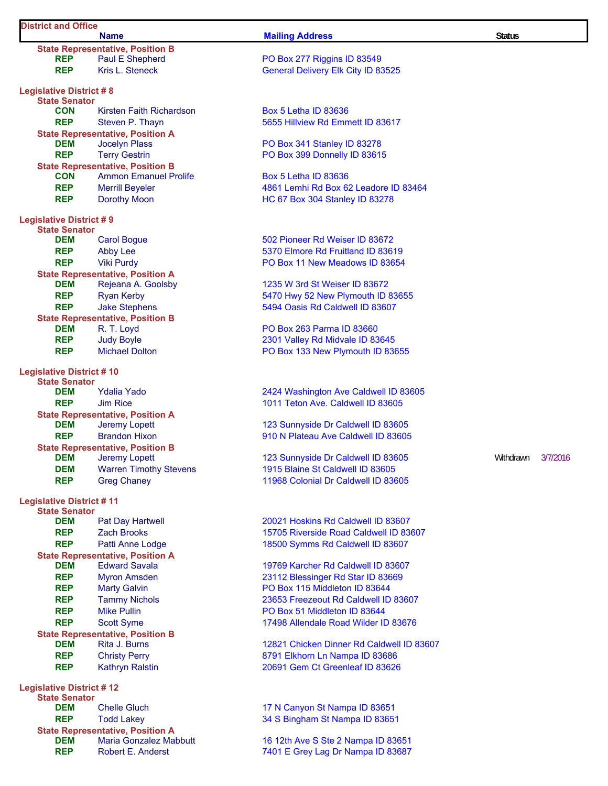## **District and Office**

|                                                        | <b>Name</b>                                                     | <b>Mailing Address</b>                                                  | <b>Status</b> |          |
|--------------------------------------------------------|-----------------------------------------------------------------|-------------------------------------------------------------------------|---------------|----------|
|                                                        | <b>State Representative, Position B</b>                         |                                                                         |               |          |
| <b>REP</b>                                             | Paul E Shepherd                                                 | PO Box 277 Riggins ID 83549                                             |               |          |
| <b>REP</b>                                             | Kris L. Steneck                                                 | <b>General Delivery Elk City ID 83525</b>                               |               |          |
| <b>Legislative District #8</b><br><b>State Senator</b> |                                                                 |                                                                         |               |          |
| <b>CON</b>                                             | Kirsten Faith Richardson                                        | <b>Box 5 Letha ID 83636</b>                                             |               |          |
| <b>REP</b>                                             | Steven P. Thayn                                                 | 5655 Hillview Rd Emmett ID 83617                                        |               |          |
|                                                        | <b>State Representative, Position A</b>                         |                                                                         |               |          |
| <b>DEM</b>                                             | <b>Jocelyn Plass</b>                                            | PO Box 341 Stanley ID 83278                                             |               |          |
| <b>REP</b>                                             | <b>Terry Gestrin</b>                                            | PO Box 399 Donnelly ID 83615                                            |               |          |
|                                                        | <b>State Representative, Position B</b>                         |                                                                         |               |          |
| <b>CON</b>                                             | <b>Ammon Emanuel Prolife</b>                                    | <b>Box 5 Letha ID 83636</b>                                             |               |          |
| <b>REP</b><br><b>REP</b>                               | <b>Merrill Beyeler</b><br><b>Dorothy Moon</b>                   | 4861 Lemhi Rd Box 62 Leadore ID 83464<br>HC 67 Box 304 Stanley ID 83278 |               |          |
|                                                        |                                                                 |                                                                         |               |          |
| <b>Legislative District #9</b><br><b>State Senator</b> |                                                                 |                                                                         |               |          |
| DEM                                                    | <b>Carol Bogue</b>                                              | 502 Pioneer Rd Weiser ID 83672                                          |               |          |
| <b>REP</b>                                             | <b>Abby Lee</b>                                                 | 5370 Elmore Rd Fruitland ID 83619                                       |               |          |
| <b>REP</b>                                             | <b>Viki Purdy</b>                                               | PO Box 11 New Meadows ID 83654                                          |               |          |
|                                                        | <b>State Representative, Position A</b>                         |                                                                         |               |          |
| <b>DEM</b>                                             | Rejeana A. Goolsby                                              | 1235 W 3rd St Weiser ID 83672                                           |               |          |
| <b>REP</b>                                             | <b>Ryan Kerby</b>                                               | 5470 Hwy 52 New Plymouth ID 83655                                       |               |          |
| <b>REP</b>                                             | <b>Jake Stephens</b>                                            | 5494 Oasis Rd Caldwell ID 83607                                         |               |          |
| <b>DEM</b>                                             | <b>State Representative, Position B</b><br>R. T. Loyd           | PO Box 263 Parma ID 83660                                               |               |          |
| <b>REP</b>                                             | <b>Judy Boyle</b>                                               | 2301 Valley Rd Midvale ID 83645                                         |               |          |
| <b>REP</b>                                             | <b>Michael Dolton</b>                                           | PO Box 133 New Plymouth ID 83655                                        |               |          |
| <b>Legislative District #10</b>                        |                                                                 |                                                                         |               |          |
| <b>State Senator</b>                                   |                                                                 |                                                                         |               |          |
| <b>DEM</b>                                             | <b>Ydalia Yado</b>                                              | 2424 Washington Ave Caldwell ID 83605                                   |               |          |
| <b>REP</b>                                             | <b>Jim Rice</b>                                                 | 1011 Teton Ave. Caldwell ID 83605                                       |               |          |
|                                                        | <b>State Representative, Position A</b>                         |                                                                         |               |          |
| <b>DEM</b>                                             | Jeremy Lopett                                                   | 123 Sunnyside Dr Caldwell ID 83605                                      |               |          |
| <b>REP</b>                                             | <b>Brandon Hixon</b><br><b>State Representative, Position B</b> | 910 N Plateau Ave Caldwell ID 83605                                     |               |          |
| <b>DEM</b>                                             | Jeremy Lopett                                                   | 123 Sunnyside Dr Caldwell ID 83605                                      | Withdrawn     | 3/7/2016 |
| <b>DEM</b>                                             | <b>Warren Timothy Stevens</b>                                   | 1915 Blaine St Caldwell ID 83605                                        |               |          |
| <b>REP</b>                                             | <b>Greg Chaney</b>                                              | 11968 Colonial Dr Caldwell ID 83605                                     |               |          |
| <b>Legislative District #11</b>                        |                                                                 |                                                                         |               |          |
| <b>State Senator</b>                                   |                                                                 |                                                                         |               |          |
| <b>DEM</b>                                             | <b>Pat Day Hartwell</b>                                         | 20021 Hoskins Rd Caldwell ID 83607                                      |               |          |
| <b>REP</b>                                             | <b>Zach Brooks</b>                                              | 15705 Riverside Road Caldwell ID 83607                                  |               |          |
| <b>REP</b>                                             | Patti Anne Lodge                                                | 18500 Symms Rd Caldwell ID 83607                                        |               |          |
|                                                        | <b>State Representative, Position A</b>                         |                                                                         |               |          |
| <b>DEM</b><br><b>REP</b>                               | <b>Edward Savala</b><br><b>Myron Amsden</b>                     | 19769 Karcher Rd Caldwell ID 83607                                      |               |          |
| <b>REP</b>                                             | <b>Marty Galvin</b>                                             | 23112 Blessinger Rd Star ID 83669<br>PO Box 115 Middleton ID 83644      |               |          |
| <b>REP</b>                                             | <b>Tammy Nichols</b>                                            | 23653 Freezeout Rd Caldwell ID 83607                                    |               |          |
| <b>REP</b>                                             | <b>Mike Pullin</b>                                              | PO Box 51 Middleton ID 83644                                            |               |          |
| <b>REP</b>                                             | <b>Scott Syme</b>                                               | 17498 Allendale Road Wilder ID 83676                                    |               |          |
|                                                        | <b>State Representative, Position B</b>                         |                                                                         |               |          |
| DEM                                                    | Rita J. Burns                                                   | 12821 Chicken Dinner Rd Caldwell ID 83607                               |               |          |
| <b>REP</b>                                             | <b>Christy Perry</b>                                            | 8791 Elkhorn Ln Nampa ID 83686                                          |               |          |
| <b>REP</b>                                             | <b>Kathryn Ralstin</b>                                          | 20691 Gem Ct Greenleaf ID 83626                                         |               |          |
| <b>Legislative District #12</b>                        |                                                                 |                                                                         |               |          |
| <b>State Senator</b><br><b>DEM</b>                     | <b>Chelle Gluch</b>                                             |                                                                         |               |          |
| <b>REP</b>                                             | <b>Todd Lakey</b>                                               | 17 N Canyon St Nampa ID 83651<br>34 S Bingham St Nampa ID 83651         |               |          |
|                                                        | <b>State Representative, Position A</b>                         |                                                                         |               |          |
| <b>DEM</b>                                             | Maria Gonzalez Mahhutt                                          | 16 12th Ave S Ste 2 Namna ID 83651                                      |               |          |

**DEM** Maria Gonzalez Mabbutt 16 12th Ave S Ste 2 Nampa ID 83651 **REP** Robert E. Anderst 7401 E Grey Lag Dr Nampa ID 83687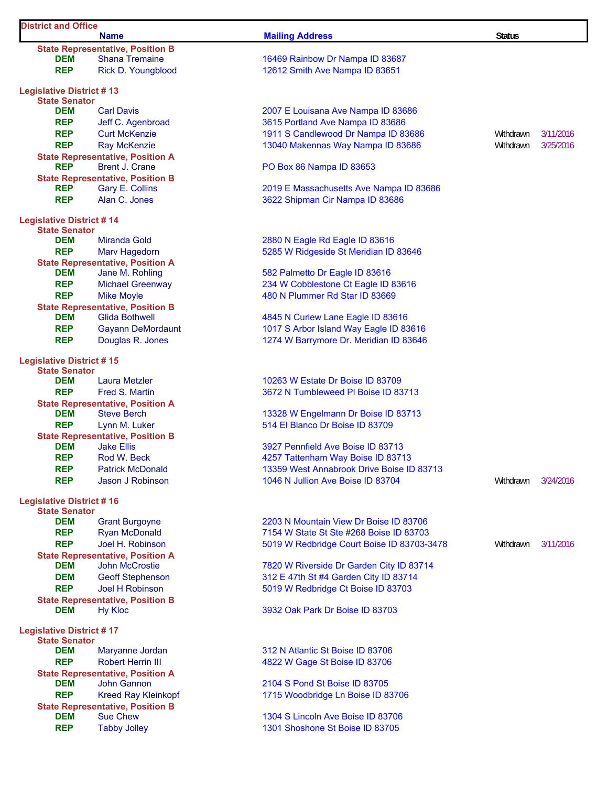| <b>District and Office</b>                              | <b>Name</b>                                                      | <b>Mailing Address</b>                                                         | <b>Status</b> |           |
|---------------------------------------------------------|------------------------------------------------------------------|--------------------------------------------------------------------------------|---------------|-----------|
|                                                         | <b>State Representative, Position B</b>                          |                                                                                |               |           |
| <b>DEM</b>                                              | <b>Shana Tremaine</b>                                            | 16469 Rainbow Dr Nampa ID 83687                                                |               |           |
| <b>REP</b>                                              | Rick D. Youngblood                                               | 12612 Smith Ave Nampa ID 83651                                                 |               |           |
| <b>Legislative District #13</b>                         |                                                                  |                                                                                |               |           |
| <b>State Senator</b>                                    |                                                                  |                                                                                |               |           |
| <b>DEM</b>                                              | <b>Carl Davis</b>                                                | 2007 E Louisana Ave Nampa ID 83686                                             |               |           |
| <b>REP</b>                                              | Jeff C. Agenbroad                                                | 3615 Portland Ave Nampa ID 83686                                               |               |           |
| <b>REP</b>                                              | <b>Curt McKenzie</b>                                             | 1911 S Candlewood Dr Nampa ID 83686                                            | Withdrawn     | 3/11/2016 |
| <b>REP</b>                                              | <b>Ray McKenzie</b>                                              | 13040 Makennas Way Nampa ID 83686                                              | Withdrawn     | 3/25/2016 |
| <b>REP</b>                                              | <b>State Representative, Position A</b><br><b>Brent J. Crane</b> | PO Box 86 Nampa ID 83653                                                       |               |           |
|                                                         | <b>State Representative, Position B</b>                          |                                                                                |               |           |
| <b>REP</b>                                              | Gary E. Collins                                                  | 2019 E Massachusetts Ave Nampa ID 83686                                        |               |           |
| <b>REP</b>                                              | Alan C. Jones                                                    | 3622 Shipman Cir Nampa ID 83686                                                |               |           |
| <b>Legislative District #14</b>                         |                                                                  |                                                                                |               |           |
| <b>State Senator</b>                                    |                                                                  |                                                                                |               |           |
| <b>DEM</b>                                              | Miranda Gold                                                     | 2880 N Eagle Rd Eagle ID 83616                                                 |               |           |
| <b>REP</b>                                              | Marv Hagedorn                                                    | 5285 W Ridgeside St Meridian ID 83646                                          |               |           |
| <b>DEM</b>                                              | <b>State Representative, Position A</b>                          |                                                                                |               |           |
|                                                         | Jane M. Rohling                                                  | 582 Palmetto Dr Eagle ID 83616                                                 |               |           |
| <b>REP</b><br><b>REP</b>                                | <b>Michael Greenway</b><br><b>Mike Moyle</b>                     | 234 W Cobblestone Ct Eagle ID 83616<br>480 N Plummer Rd Star ID 83669          |               |           |
|                                                         | <b>State Representative, Position B</b>                          |                                                                                |               |           |
| <b>DEM</b>                                              | <b>Glida Bothwell</b>                                            | 4845 N Curlew Lane Eagle ID 83616                                              |               |           |
| <b>REP</b>                                              | <b>Gayann DeMordaunt</b>                                         | 1017 S Arbor Island Way Eagle ID 83616                                         |               |           |
| <b>REP</b>                                              | Douglas R. Jones                                                 | 1274 W Barrymore Dr. Meridian ID 83646                                         |               |           |
| <b>Legislative District #15</b>                         |                                                                  |                                                                                |               |           |
| <b>State Senator</b>                                    |                                                                  |                                                                                |               |           |
| DEM                                                     | Laura Metzler                                                    | 10263 W Estate Dr Boise ID 83709                                               |               |           |
| <b>REP</b>                                              | Fred S. Martin                                                   | 3672 N Tumbleweed PI Boise ID 83713                                            |               |           |
|                                                         | <b>State Representative, Position A</b>                          |                                                                                |               |           |
| <b>DEM</b>                                              | <b>Steve Berch</b>                                               | 13328 W Engelmann Dr Boise ID 83713                                            |               |           |
| <b>REP</b>                                              | Lynn M. Luker                                                    | 514 El Blanco Dr Boise ID 83709                                                |               |           |
|                                                         | <b>State Representative, Position B</b>                          |                                                                                |               |           |
| <b>DEM</b>                                              | <b>Jake Ellis</b>                                                | 3927 Pennfield Ave Boise ID 83713                                              |               |           |
| <b>REP</b><br><b>REP</b>                                | Rod W. Beck<br><b>Patrick McDonald</b>                           | 4257 Tattenham Way Boise ID 83713<br>13359 West Annabrook Drive Boise ID 83713 |               |           |
| <b>REP</b>                                              | <b>Jason J Robinson</b>                                          | 1046 N Jullion Ave Boise ID 83704                                              | Withdrawn     | 3/24/2016 |
| <b>Legislative District #16</b>                         |                                                                  |                                                                                |               |           |
| <b>State Senator</b>                                    |                                                                  |                                                                                |               |           |
| <b>DEM</b>                                              | <b>Grant Burgoyne</b>                                            | 2203 N Mountain View Dr Boise ID 83706                                         |               |           |
| <b>REP</b>                                              | <b>Ryan McDonald</b>                                             | 7154 W State St Ste #268 Boise ID 83703                                        |               |           |
| <b>REP</b>                                              | Joel H. Robinson                                                 | 5019 W Redbridge Court Boise ID 83703-3478                                     | Withdrawn     | 3/11/2016 |
|                                                         | <b>State Representative, Position A</b>                          |                                                                                |               |           |
| <b>DEM</b>                                              | <b>John McCrostie</b>                                            | 7820 W Riverside Dr Garden City ID 83714                                       |               |           |
| <b>DEM</b>                                              | <b>Geoff Stephenson</b>                                          | 312 E 47th St #4 Garden City ID 83714                                          |               |           |
| <b>REP</b>                                              | Joel H Robinson                                                  | 5019 W Redbridge Ct Boise ID 83703                                             |               |           |
|                                                         | <b>State Representative, Position B</b>                          |                                                                                |               |           |
| <b>DEM</b>                                              | <b>Hy Kloc</b>                                                   | 3932 Oak Park Dr Boise ID 83703                                                |               |           |
| <b>Legislative District #17</b><br><b>State Senator</b> |                                                                  |                                                                                |               |           |
| <b>DEM</b>                                              | Maryanne Jordan                                                  | 312 N Atlantic St Boise ID 83706                                               |               |           |
| <b>REP</b>                                              | <b>Robert Herrin III</b>                                         | 4822 W Gage St Boise ID 83706                                                  |               |           |
|                                                         | <b>State Representative, Position A</b>                          |                                                                                |               |           |
| <b>DEM</b>                                              | <b>John Gannon</b>                                               | 2104 S Pond St Boise ID 83705                                                  |               |           |
| <b>REP</b>                                              | <b>Kreed Ray Kleinkopf</b>                                       | 1715 Woodbridge Ln Boise ID 83706                                              |               |           |
|                                                         | <b>State Representative, Position B</b>                          |                                                                                |               |           |
| <b>DEM</b>                                              | <b>Sue Chew</b>                                                  | 1304 S Lincoln Ave Boise ID 83706                                              |               |           |
| <b>REP</b>                                              | <b>Tabby Jolley</b>                                              | 1301 Shoshone St Boise ID 83705                                                |               |           |
|                                                         |                                                                  |                                                                                |               |           |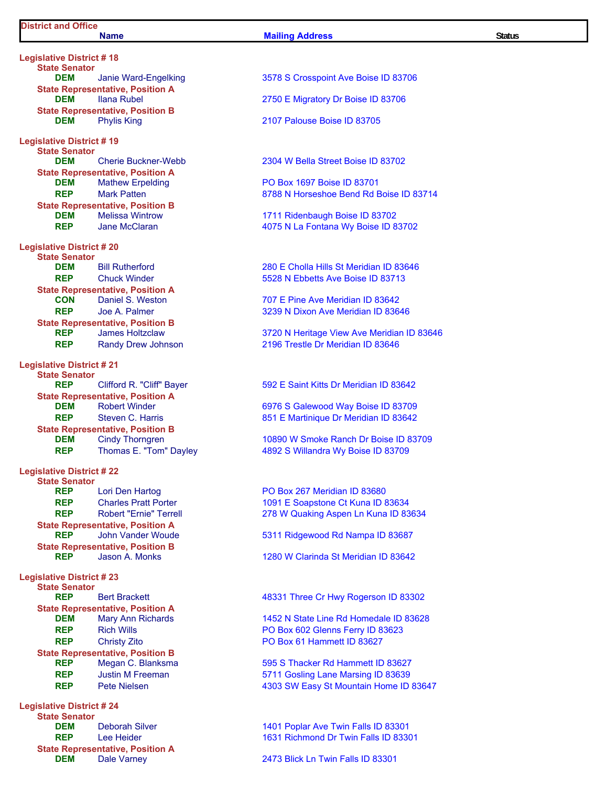**Legislative District # 18 State Senator DEM** Janie Ward-Engelking 3578 S Crosspoint Ave Boise ID 83706 **State Representative, Position A State Representative, Position B**<br>**DEM** Phylis King **Legislative District # 19 State Senator State Representative, Position A**<br>**DEM** Mathew Erpelding **State Representative, Position B Legislative District # 20 State Senator State Representative, Position A<br>CON** Daniel S. Weston **State Representative, Position B Legislative District # 21 State Senator State Representative, Position A State Representative, Position B<br>DEM** Cindy Thorngren **Legislative District # 22 State Senator State Representative, Position A State Representative, Position B**<br>**REP** Jason A. Monks **Legislative District # 23 State Senator State Representative, Position A**<br>**DEM** Mary Ann Richards **State Representative, Position B Legislative District # 24 State Senator**

**State Representative, Position A**

## **DEM** Ilana Rubel 2750 E Migratory Dr Boise ID 83706 **2107 Palouse Boise ID 83705 DEM** Cherie Buckner-Webb 2304 W Bella Street Boise ID 83702 **DEM** Mathew Erpelding **National Contract PO Box 1697 Boise ID 83701 REP** Mark Patten **8788 N** Horseshoe Bend Rd Boise ID 83714 **DEM** Melissa Wintrow 1711 Ridenbaugh Boise ID 83702 **REP** Jane McClaran 4075 N La Fontana Wy Boise ID 83702 **DEM** Bill Rutherford **280 E Cholla Hills St Meridian ID 83646 REP** Chuck Winder 5528 N Ebbetts Ave Boise ID 83713 707 E Pine Ave Meridian ID 83642 **REP** Joe A. Palmer **1988 1988 1989 12:339 N Dixon Ave Meridian ID 83646 REP** James Holtzclaw 3720 N Heritage View Ave Meridian ID 83646 **REP** Randy Drew Johnson 2196 Trestle Dr Meridian ID 83646 **REP** Clifford R. "Cliff" Bayer 592 E Saint Kitts Dr Meridian ID 83642 **DEM** Robert Winder **CONGLET CONGLETED ASSESS** CONGRESS Galewood Way Boise ID 83709 **REP** Steven C. Harris 851 E Martinique Dr Meridian ID 83642 **DEM** Cindy Thorngren 10890 W Smoke Ranch Dr Boise ID 83709 **REP** Thomas E. "Tom" Dayley 4892 S Willandra Wy Boise ID 83709 **REP** Lori Den Hartog **PO Box 267 Meridian ID 83680 REP** Charles Pratt Porter 1091 E Soapstone Ct Kuna ID 83634 **REP** Robert "Ernie" Terrell 278 W Quaking Aspen Ln Kuna ID 83634 **REP** John Vander Woude 5311 Ridgewood Rd Nampa ID 83687 1280 W Clarinda St Meridian ID 83642 **REP** Bert Brackett **1988 Bert Brackett** 1988 **1998 ABSON 48331 Three Cr Hwy Rogerson ID 83302 DEM** Mary Ann Richards 1452 N State Line Rd Homedale ID 83628 **REP** Rich Wills **REP** Rich Wills **PO Box 602 Glenns Ferry ID 83623 REP** Christy Zito **PO Box 61 Hammett ID 83627 REP** Megan C. Blanksma **1995 S** Thacker Rd Hammett ID 83627 **REP** Justin M Freeman 5711 Gosling Lane Marsing ID 83639 **REP** Pete Nielsen **1203 SW Easy St Mountain Home ID 83647 DEM** Deborah Silver 1401 Poplar Ave Twin Falls ID 83301 **REP** Lee Heider 1631 Richmond Dr Twin Falls ID 83301 **DEM** Dale Varney 2473 Blick Ln Twin Falls ID 83301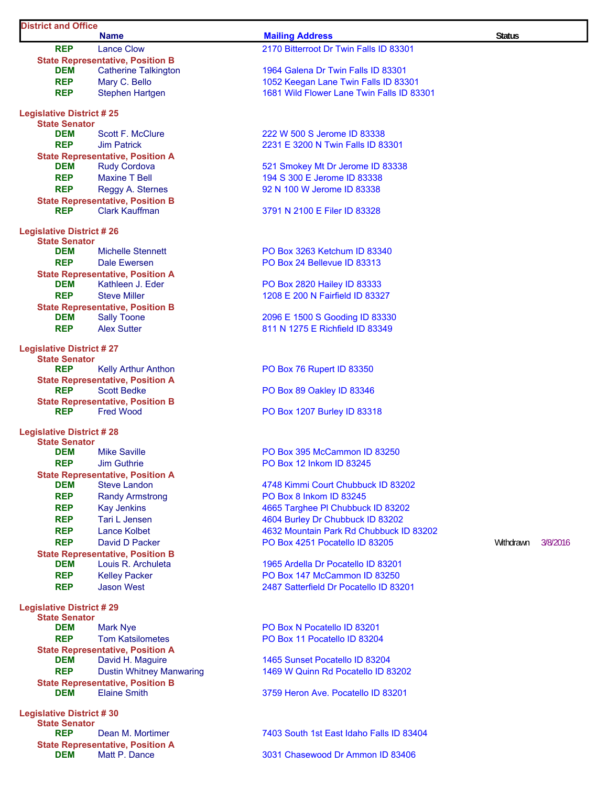|                                                         | <b>Name</b>                                                 | <b>Mailing Address</b>                                                            | <b>Status</b> |          |
|---------------------------------------------------------|-------------------------------------------------------------|-----------------------------------------------------------------------------------|---------------|----------|
| <b>REP</b>                                              | <b>Lance Clow</b>                                           | 2170 Bitterroot Dr Twin Falls ID 83301                                            |               |          |
|                                                         | <b>State Representative, Position B</b>                     |                                                                                   |               |          |
| DEM<br><b>REP</b>                                       | <b>Catherine Talkington</b>                                 | 1964 Galena Dr Twin Falls ID 83301                                                |               |          |
| <b>REP</b>                                              | Mary C. Bello<br><b>Stephen Hartgen</b>                     | 1052 Keegan Lane Twin Falls ID 83301<br>1681 Wild Flower Lane Twin Falls ID 83301 |               |          |
|                                                         |                                                             |                                                                                   |               |          |
| <b>Legislative District #25</b>                         |                                                             |                                                                                   |               |          |
| <b>State Senator</b><br><b>DEM</b>                      | Scott F. McClure                                            | 222 W 500 S Jerome ID 83338                                                       |               |          |
| <b>REP</b>                                              | <b>Jim Patrick</b>                                          | 2231 E 3200 N Twin Falls ID 83301                                                 |               |          |
|                                                         | <b>State Representative, Position A</b>                     |                                                                                   |               |          |
| <b>DEM</b>                                              | <b>Rudy Cordova</b>                                         | 521 Smokey Mt Dr Jerome ID 83338                                                  |               |          |
| <b>REP</b>                                              | <b>Maxine T Bell</b>                                        | 194 S 300 E Jerome ID 83338                                                       |               |          |
| <b>REP</b>                                              | Reggy A. Sternes                                            | 92 N 100 W Jerome ID 83338                                                        |               |          |
|                                                         | <b>State Representative, Position B</b>                     |                                                                                   |               |          |
| <b>REP</b>                                              | <b>Clark Kauffman</b>                                       | 3791 N 2100 E Filer ID 83328                                                      |               |          |
| <b>Legislative District #26</b>                         |                                                             |                                                                                   |               |          |
| <b>State Senator</b>                                    |                                                             |                                                                                   |               |          |
| <b>DEM</b>                                              | Michelle Stennett                                           | PO Box 3263 Ketchum ID 83340                                                      |               |          |
| <b>REP</b>                                              | <b>Dale Ewersen</b>                                         | PO Box 24 Bellevue ID 83313                                                       |               |          |
| DEM                                                     | <b>State Representative, Position A</b><br>Kathleen J. Eder | PO Box 2820 Hailey ID 83333                                                       |               |          |
| <b>REP</b>                                              | <b>Steve Miller</b>                                         | 1208 E 200 N Fairfield ID 83327                                                   |               |          |
|                                                         | <b>State Representative, Position B</b>                     |                                                                                   |               |          |
| DEM                                                     | <b>Sally Toone</b>                                          | 2096 E 1500 S Gooding ID 83330                                                    |               |          |
| <b>REP</b>                                              | <b>Alex Sutter</b>                                          | 811 N 1275 E Richfield ID 83349                                                   |               |          |
| <b>Legislative District #27</b>                         |                                                             |                                                                                   |               |          |
| <b>State Senator</b>                                    |                                                             |                                                                                   |               |          |
| <b>REP</b>                                              | <b>Kelly Arthur Anthon</b>                                  | PO Box 76 Rupert ID 83350                                                         |               |          |
|                                                         | <b>State Representative, Position A</b>                     |                                                                                   |               |          |
| <b>REP</b>                                              | <b>Scott Bedke</b>                                          | PO Box 89 Oakley ID 83346                                                         |               |          |
| <b>REP</b>                                              | <b>State Representative, Position B</b><br><b>Fred Wood</b> | PO Box 1207 Burley ID 83318                                                       |               |          |
|                                                         |                                                             |                                                                                   |               |          |
| <b>Legislative District #28</b><br><b>State Senator</b> |                                                             |                                                                                   |               |          |
| <b>DEM</b>                                              | <b>Mike Saville</b>                                         | PO Box 395 McCammon ID 83250                                                      |               |          |
| <b>REP</b>                                              | <b>Jim Guthrie</b>                                          | PO Box 12 Inkom ID 83245                                                          |               |          |
|                                                         | <b>State Representative, Position A</b>                     |                                                                                   |               |          |
| <b>DEM</b>                                              | <b>Steve Landon</b>                                         | 4748 Kimmi Court Chubbuck ID 83202                                                |               |          |
| <b>REP</b>                                              | <b>Randy Armstrong</b>                                      | PO Box 8 Inkom ID 83245                                                           |               |          |
| <b>REP</b>                                              | <b>Kay Jenkins</b>                                          | 4665 Targhee PI Chubbuck ID 83202                                                 |               |          |
| <b>REP</b>                                              | Tari L Jensen                                               | 4604 Burley Dr Chubbuck ID 83202                                                  |               |          |
| <b>REP</b>                                              | <b>Lance Kolbet</b>                                         | 4632 Mountain Park Rd Chubbuck ID 83202                                           |               |          |
| <b>REP</b>                                              | David D Packer<br><b>State Representative, Position B</b>   | PO Box 4251 Pocatello ID 83205                                                    | Withdrawn     | 3/8/2016 |
| DEM                                                     | Louis R. Archuleta                                          | 1965 Ardella Dr Pocatello ID 83201                                                |               |          |
| <b>REP</b>                                              | <b>Kelley Packer</b>                                        | PO Box 147 McCammon ID 83250                                                      |               |          |
| <b>REP</b>                                              | Jason West                                                  | 2487 Satterfield Dr Pocatello ID 83201                                            |               |          |
|                                                         |                                                             |                                                                                   |               |          |
| <b>Legislative District #29</b><br><b>State Senator</b> |                                                             |                                                                                   |               |          |
| <b>DEM</b>                                              | <b>Mark Nye</b>                                             | PO Box N Pocatello ID 83201                                                       |               |          |
| <b>REP</b>                                              | <b>Tom Katsilometes</b>                                     | PO Box 11 Pocatello ID 83204                                                      |               |          |
|                                                         | <b>State Representative, Position A</b>                     |                                                                                   |               |          |
| <b>DEM</b>                                              | David H. Maguire                                            | 1465 Sunset Pocatello ID 83204                                                    |               |          |
| <b>REP</b>                                              | <b>Dustin Whitney Manwaring</b>                             | 1469 W Quinn Rd Pocatello ID 83202                                                |               |          |
| <b>DEM</b>                                              | <b>State Representative, Position B</b>                     | 3759 Heron Ave. Pocatello ID 83201                                                |               |          |
|                                                         | <b>Elaine Smith</b>                                         |                                                                                   |               |          |
| <b>Legislative District #30</b>                         |                                                             |                                                                                   |               |          |
| <b>State Senator</b>                                    |                                                             |                                                                                   |               |          |
| <b>REP</b>                                              | Dean M. Mortimer<br><b>State Representative, Position A</b> | 7403 South 1st East Idaho Falls ID 83404                                          |               |          |
| <b>DEM</b>                                              | Matt P. Dance                                               | 3031 Chasewood Dr Ammon ID 83406                                                  |               |          |
|                                                         |                                                             |                                                                                   |               |          |